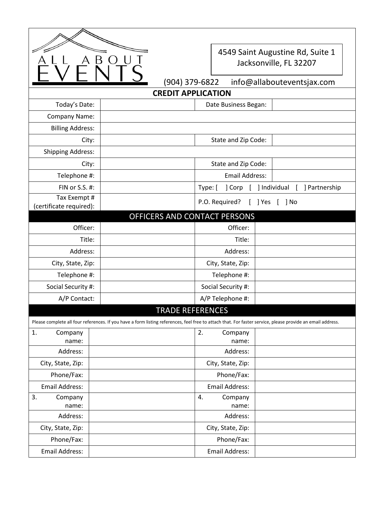

## 4549 Saint Augustine Rd, Suite 1 Jacksonville, FL 32207

| $(904)$ 379-6822 | info@allabouteventsjax.com |
|------------------|----------------------------|
|                  |                            |

| <b>CREDIT APPLICATION</b>                                                                                                                                  |                              |                         |                                    |  |  |  |
|------------------------------------------------------------------------------------------------------------------------------------------------------------|------------------------------|-------------------------|------------------------------------|--|--|--|
| Today's Date:                                                                                                                                              |                              | Date Business Began:    |                                    |  |  |  |
| Company Name:                                                                                                                                              |                              |                         |                                    |  |  |  |
| <b>Billing Address:</b>                                                                                                                                    |                              |                         |                                    |  |  |  |
| City:                                                                                                                                                      |                              | State and Zip Code:     |                                    |  |  |  |
| <b>Shipping Address:</b>                                                                                                                                   |                              |                         |                                    |  |  |  |
| City:                                                                                                                                                      |                              | State and Zip Code:     |                                    |  |  |  |
| Telephone #:                                                                                                                                               |                              | <b>Email Address:</b>   |                                    |  |  |  |
| FIN or S.S. #:                                                                                                                                             |                              | Type: [<br>] Corp       | ] Individual<br>] Partnership<br>L |  |  |  |
| Tax Exempt #<br>(certificate required):                                                                                                                    |                              | P.O. Required?<br>J Yes | ] No                               |  |  |  |
|                                                                                                                                                            | OFFICERS AND CONTACT PERSONS |                         |                                    |  |  |  |
| Officer:                                                                                                                                                   |                              | Officer:                |                                    |  |  |  |
| Title:                                                                                                                                                     |                              | Title:                  |                                    |  |  |  |
| Address:                                                                                                                                                   |                              | Address:                |                                    |  |  |  |
| City, State, Zip:                                                                                                                                          |                              | City, State, Zip:       |                                    |  |  |  |
| Telephone #:                                                                                                                                               |                              | Telephone #:            |                                    |  |  |  |
| Social Security #:                                                                                                                                         |                              | Social Security #:      |                                    |  |  |  |
| A/P Contact:                                                                                                                                               |                              | A/P Telephone #:        |                                    |  |  |  |
|                                                                                                                                                            | <b>TRADE REFERENCES</b>      |                         |                                    |  |  |  |
| Please complete all four references. If you have a form listing references, feel free to attach that. For faster service, please provide an email address. |                              |                         |                                    |  |  |  |
| 1.<br>Company                                                                                                                                              |                              | 2.<br>Company           |                                    |  |  |  |
| name:                                                                                                                                                      |                              | name:                   |                                    |  |  |  |
| Address:                                                                                                                                                   |                              | Address:                |                                    |  |  |  |
| City, State, Zip:                                                                                                                                          |                              | City, State, Zip:       |                                    |  |  |  |
| Phone/Fax:                                                                                                                                                 |                              | Phone/Fax:              |                                    |  |  |  |
| Email Address:                                                                                                                                             |                              | Email Address:          |                                    |  |  |  |
| 3.<br>Company<br>name:                                                                                                                                     |                              | Company<br>4.<br>name:  |                                    |  |  |  |
| Address:                                                                                                                                                   |                              | Address:                |                                    |  |  |  |
| City, State, Zip:                                                                                                                                          |                              | City, State, Zip:       |                                    |  |  |  |
| Phone/Fax:                                                                                                                                                 |                              | Phone/Fax:              |                                    |  |  |  |
| Email Address:                                                                                                                                             |                              | Email Address:          |                                    |  |  |  |